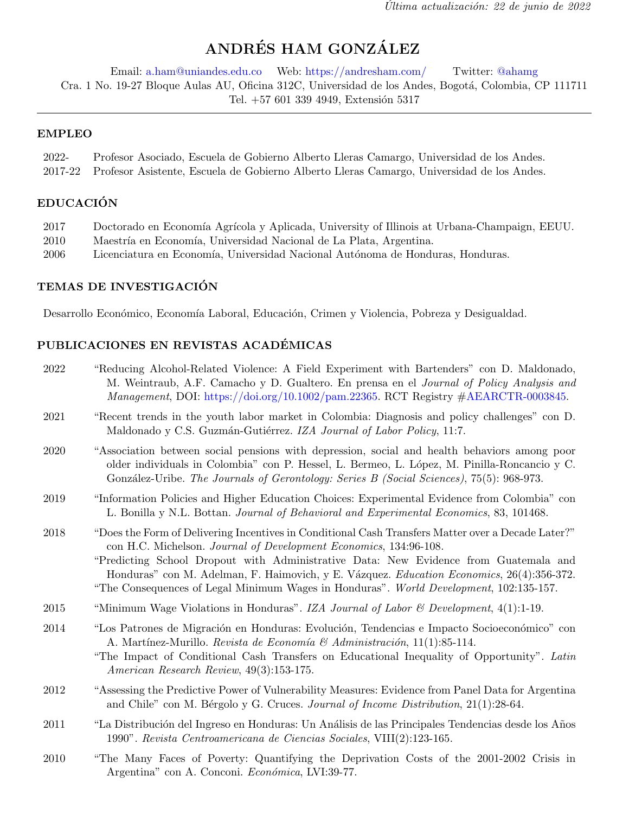# ANDRÉS HAM GONZÁLEZ

Email: [a.ham@uniandes.edu.co](mailto:a.ham@uniandes.edu.co) Web: <https://andresham.com/> Twitter: [@ahamg](https://twitter.com/ahamg) Cra. 1 No. 19-27 Bloque Aulas AU, Oficina 312C, Universidad de los Andes, Bogotá, Colombia, CP 111711 Tel. +57 601 339 4949, Extensión 5317

#### EMPLEO

| 2022- | Profesor Asociado, Escuela de Gobierno Alberto Lleras Camargo, Universidad de los Andes.          |
|-------|---------------------------------------------------------------------------------------------------|
|       | 2017-22 Profesor Asistente, Escuela de Gobierno Alberto Lleras Camargo, Universidad de los Andes. |

# EDUCACIÓN

| 2017 | Doctorado en Economía Agrícola y Aplicada, University of Illinois at Urbana-Champaign, EEUU. |  |
|------|----------------------------------------------------------------------------------------------|--|
|      | $0.010 \t M L$ / $\Box$ / II' '1 1 M ' 1 1 T $\Box$ 1 A $\Box$ '                             |  |

- 2010 Maestría en Economía, Universidad Nacional de La Plata, Argentina.
- 2006 Licenciatura en Economía, Universidad Nacional Autónoma de Honduras, Honduras.

# TEMAS DE INVESTIGACIÓN

Desarrollo Económico, Economía Laboral, Educación, Crimen y Violencia, Pobreza y Desigualdad.

# PUBLICACIONES EN REVISTAS ACADÉMICAS

| 2022 | "Reducing Alcohol-Related Violence: A Field Experiment with Bartenders" con D. Maldonado,<br>M. Weintraub, A.F. Camacho y D. Gualtero. En prensa en el Journal of Policy Analysis and<br>$Management$ , DOI: https://doi.org/10.1002/pam.22365. RCT Registry $\#A\text{EARCH}$ -0003845.                                                                                                                                                               |
|------|--------------------------------------------------------------------------------------------------------------------------------------------------------------------------------------------------------------------------------------------------------------------------------------------------------------------------------------------------------------------------------------------------------------------------------------------------------|
| 2021 | "Recent trends in the youth labor market in Colombia: Diagnosis and policy challenges" con D.<br>Maldonado y C.S. Guzmán-Gutiérrez. IZA Journal of Labor Policy, 11:7.                                                                                                                                                                                                                                                                                 |
| 2020 | "Association between social pensions with depression, social and health behaviors among poor<br>older individuals in Colombia" con P. Hessel, L. Bermeo, L. López, M. Pinilla-Roncancio y C.<br>González-Uribe. The Journals of Gerontology: Series B (Social Sciences), 75(5): 968-973.                                                                                                                                                               |
| 2019 | "Information Policies and Higher Education Choices: Experimental Evidence from Colombia" con<br>L. Bonilla y N.L. Bottan. Journal of Behavioral and Experimental Economics, 83, 101468.                                                                                                                                                                                                                                                                |
| 2018 | "Does the Form of Delivering Incentives in Conditional Cash Transfers Matter over a Decade Later?"<br>con H.C. Michelson. Journal of Development Economics, 134:96-108.<br>"Predicting School Dropout with Administrative Data: New Evidence from Guatemala and<br>Honduras" con M. Adelman, F. Haimovich, y E. Vázquez. Education Economics, 26(4):356-372.<br>"The Consequences of Legal Minimum Wages in Honduras". World Development, 102:135-157. |
| 2015 | "Minimum Wage Violations in Honduras". IZA Journal of Labor & Development, $4(1)$ :1-19.                                                                                                                                                                                                                                                                                                                                                               |
| 2014 | "Los Patrones de Migración en Honduras: Evolución, Tendencias e Impacto Socioeconómico" con<br>A. Martínez-Murillo. Revista de Economía & Administración, 11(1):85-114.<br>"The Impact of Conditional Cash Transfers on Educational Inequality of Opportunity". Latin<br>American Research Review, 49(3):153-175.                                                                                                                                      |
| 2012 | "Assessing the Predictive Power of Vulnerability Measures: Evidence from Panel Data for Argentina<br>and Chile" con M. Bérgolo y G. Cruces. Journal of Income Distribution, 21(1):28-64.                                                                                                                                                                                                                                                               |
| 2011 | "La Distribución del Ingreso en Honduras: Un Análisis de las Principales Tendencias desde los Años<br>1990". Revista Centroamericana de Ciencias Sociales, VIII(2):123-165.                                                                                                                                                                                                                                                                            |

2010 "The Many Faces of Poverty: Quantifying the Deprivation Costs of the 2001-2002 Crisis in Argentina" con A. Conconi. Económica, LVI:39-77.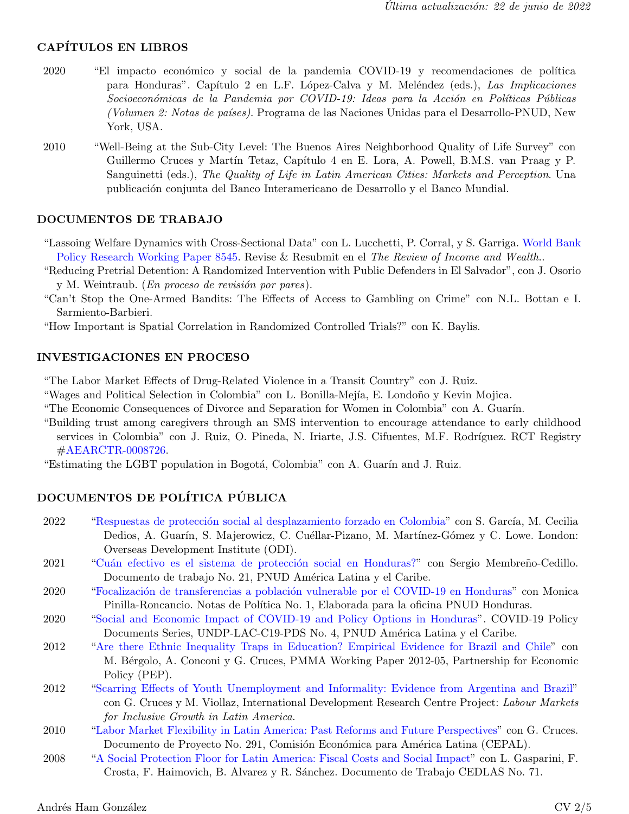# CAPÍTULOS EN LIBROS

- 2020 "El impacto económico y social de la pandemia COVID-19 y recomendaciones de política para Honduras". Capítulo 2 en L.F. López-Calva y M. Meléndez (eds.), Las Implicaciones Socioeconómicas de la Pandemia por COVID-19: Ideas para la Acción en Políticas Públicas (Volumen 2: Notas de países). Programa de las Naciones Unidas para el Desarrollo-PNUD, New York, USA.
- 2010 "Well-Being at the Sub-City Level: The Buenos Aires Neighborhood Quality of Life Survey" con Guillermo Cruces y Martín Tetaz, Capítulo 4 en E. Lora, A. Powell, B.M.S. van Praag y P. Sanguinetti (eds.), The Quality of Life in Latin American Cities: Markets and Perception. Una publicaci´on conjunta del Banco Interamericano de Desarrollo y el Banco Mundial.

#### DOCUMENTOS DE TRABAJO

"Lassoing Welfare Dynamics with Cross-Sectional Data" con L. Lucchetti, P. Corral, y S. Garriga. [World Bank](http://documents1.worldbank.org/curated/en/949841533741579213/pdf/Lassoing-Welfare-Dynamics-with-Cross-Sectional-Data.pdf) [Policy Research Working Paper 8545.](http://documents1.worldbank.org/curated/en/949841533741579213/pdf/Lassoing-Welfare-Dynamics-with-Cross-Sectional-Data.pdf) Revise & Resubmit en el The Review of Income and Wealth..

- "Reducing Pretrial Detention: A Randomized Intervention with Public Defenders in El Salvador", con J. Osorio y M. Weintraub. (*En proceso de revisión por pares*).
- "Can't Stop the One-Armed Bandits: The Effects of Access to Gambling on Crime" con N.L. Bottan e I. Sarmiento-Barbieri.

"How Important is Spatial Correlation in Randomized Controlled Trials?" con K. Baylis.

#### INVESTIGACIONES EN PROCESO

"The Labor Market Effects of Drug-Related Violence in a Transit Country" con J. Ruiz.

"Wages and Political Selection in Colombia" con L. Bonilla-Mejía, E. Londoño y Kevin Mojica.

"The Economic Consequences of Divorce and Separation for Women in Colombia" con A. Guar´ın.

"Building trust among caregivers through an SMS intervention to encourage attendance to early childhood services in Colombia" con J. Ruiz, O. Pineda, N. Iriarte, J.S. Cifuentes, M.F. Rodríguez. RCT Registry [#AEARCTR-0008726.](https://www.socialscienceregistry.org/trials/8726)

"Estimating the LGBT population in Bogotá, Colombia" con A. Guarín and J. Ruiz.

# DOCUMENTOS DE POLÍTICA PÚBLICA

- 2022 "Respuestas de protección social al desplazamiento forzado en Colombia" con S. García, M. Cecilia Dedios, A. Guarín, S. Majerowicz, C. Cuéllar-Pizano, M. Martínez-Gómez y C. Lowe. London: Overseas Development Institute (ODI).
- 2021 "Cuán efectivo es el sistema de protección social en Honduras?" con Sergio Membreño-Cedillo. Documento de trabajo No. 21, PNUD América Latina y el Caribe.
- 2020 "Focalización de transferencias a población vulnerable por el COVID-19 en Honduras" con Monica Pinilla-Roncancio. Notas de Política No. 1, Elaborada para la oficina PNUD Honduras.
- 2020 ["Social and Economic Impact of COVID-19 and Policy Options in Honduras"](https://www.latinamerica.undp.org/content/rblac/en/home/library/crisis_prevention_and_recovery/social-and-economic-impact-of-the-covid-19-and-policy-options-in.html). COVID-19 Policy Documents Series, UNDP-LAC-C19-PDS No. 4, PNUD América Latina y el Caribe.
- 2012 ["Are there Ethnic Inequality Traps in Education? Empirical Evidence for Brazil and Chile"](https://papers.ssrn.com/sol3/papers.cfm?abstract_id=2367377) con M. Bérgolo, A. Conconi y G. Cruces, PMMA Working Paper 2012-05, Partnership for Economic Policy (PEP).
- 2012 ["Scarring Effects of Youth Unemployment and Informality: Evidence from Argentina and Brazil"](https://idl-bnc-idrc.dspacedirect.org/handle/10625/48802) con G. Cruces y M. Viollaz, International Development Research Centre Project: Labour Markets for Inclusive Growth in Latin America.
- 2010 ["Labor Market Flexibility in Latin America: Past Reforms and Future Perspectives"](https://repositorio.cepal.org/handle/11362/3771) con G. Cruces. Documento de Proyecto No. 291, Comisión Económica para América Latina (CEPAL).
- 2008 ["A Social Protection Floor for Latin America: Fiscal Costs and Social Impact"](https://www.cedlas.econo.unlp.edu.ar/wp/en/doc-cedlas71-pdf/) con L. Gasparini, F. Crosta, F. Haimovich, B. Alvarez y R. S´anchez. Documento de Trabajo CEDLAS No. 71.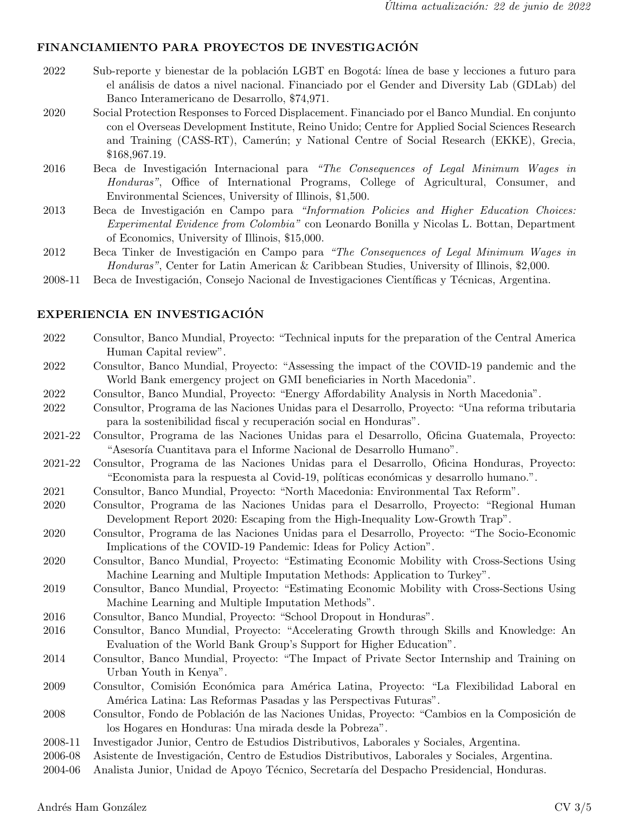#### FINANCIAMIENTO PARA PROYECTOS DE INVESTIGACIÓN

- 2022 Sub-reporte y bienestar de la población LGBT en Bogotá: línea de base y lecciones a futuro para el an´alisis de datos a nivel nacional. Financiado por el Gender and Diversity Lab (GDLab) del Banco Interamericano de Desarrollo, \$74,971.
- 2020 Social Protection Responses to Forced Displacement. Financiado por el Banco Mundial. En conjunto con el Overseas Development Institute, Reino Unido; Centre for Applied Social Sciences Research and Training (CASS-RT), Camerún; y National Centre of Social Research (EKKE), Grecia, \$168,967.19.
- 2016 Beca de Investigación Internacional para "The Consequences of Legal Minimum Wages in Honduras", Office of International Programs, College of Agricultural, Consumer, and Environmental Sciences, University of Illinois, \$1,500.
- 2013 Beca de Investigación en Campo para "Information Policies and Higher Education Choices: Experimental Evidence from Colombia" con Leonardo Bonilla y Nicolas L. Bottan, Department of Economics, University of Illinois, \$15,000.
- 2012 Beca Tinker de Investigación en Campo para "The Consequences of Legal Minimum Wages in Honduras", Center for Latin American & Caribbean Studies, University of Illinois, \$2,000.
- 2008-11 Beca de Investigación, Consejo Nacional de Investigaciones Científicas y Técnicas, Argentina.

#### EXPERIENCIA EN INVESTIGACIÓN

- 2022 Consultor, Banco Mundial, Proyecto: "Technical inputs for the preparation of the Central America Human Capital review".
- 2022 Consultor, Banco Mundial, Proyecto: "Assessing the impact of the COVID-19 pandemic and the World Bank emergency project on GMI beneficiaries in North Macedonia".
- 2022 Consultor, Banco Mundial, Proyecto: "Energy Affordability Analysis in North Macedonia".
- 2022 Consultor, Programa de las Naciones Unidas para el Desarrollo, Proyecto: "Una reforma tributaria para la sostenibilidad fiscal y recuperación social en Honduras".
- 2021-22 Consultor, Programa de las Naciones Unidas para el Desarrollo, Oficina Guatemala, Proyecto: "Asesoría Cuantitava para el Informe Nacional de Desarrollo Humano".
- 2021-22 Consultor, Programa de las Naciones Unidas para el Desarrollo, Oficina Honduras, Proyecto: "Economista para la respuesta al Covid-19, políticas económicas y desarrollo humano.".
- 2021 Consultor, Banco Mundial, Proyecto: "North Macedonia: Environmental Tax Reform".
- 2020 Consultor, Programa de las Naciones Unidas para el Desarrollo, Proyecto: "Regional Human Development Report 2020: Escaping from the High-Inequality Low-Growth Trap".
- 2020 Consultor, Programa de las Naciones Unidas para el Desarrollo, Proyecto: "The Socio-Economic Implications of the COVID-19 Pandemic: Ideas for Policy Action".
- 2020 Consultor, Banco Mundial, Proyecto: "Estimating Economic Mobility with Cross-Sections Using Machine Learning and Multiple Imputation Methods: Application to Turkey".
- 2019 Consultor, Banco Mundial, Proyecto: "Estimating Economic Mobility with Cross-Sections Using Machine Learning and Multiple Imputation Methods".
- 2016 Consultor, Banco Mundial, Proyecto: "School Dropout in Honduras".
- 2016 Consultor, Banco Mundial, Proyecto: "Accelerating Growth through Skills and Knowledge: An Evaluation of the World Bank Group's Support for Higher Education".
- 2014 Consultor, Banco Mundial, Proyecto: "The Impact of Private Sector Internship and Training on Urban Youth in Kenya".
- 2009 Consultor, Comisión Económica para América Latina, Proyecto: "La Flexibilidad Laboral en América Latina: Las Reformas Pasadas y las Perspectivas Futuras".
- 2008 Consultor, Fondo de Población de las Naciones Unidas, Proyecto: "Cambios en la Composición de los Hogares en Honduras: Una mirada desde la Pobreza".
- 2008-11 Investigador Junior, Centro de Estudios Distributivos, Laborales y Sociales, Argentina.
- 2006-08 Asistente de Investigaci´on, Centro de Estudios Distributivos, Laborales y Sociales, Argentina.
- 2004-06 Analista Junior, Unidad de Apoyo Técnico, Secretaría del Despacho Presidencial, Honduras.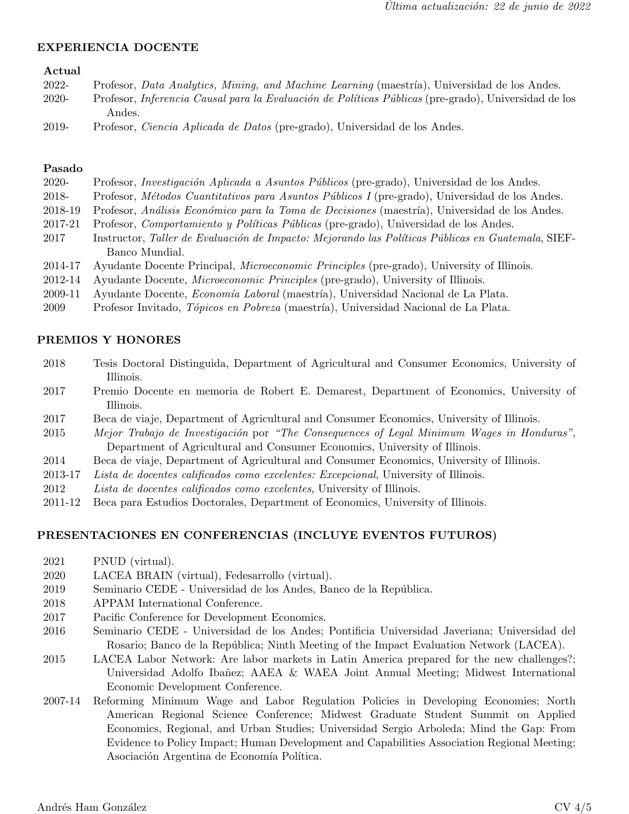#### EXPERIENCIA DOCENTE

#### Actual

| 2022-   | Profesor, Data Analytics, Mining, and Machine Learning (maestria), Universidad de los Andes.                |
|---------|-------------------------------------------------------------------------------------------------------------|
| $2020-$ | Profesor, <i>Inferencia Causal para la Evaluación de Políticas Públicas</i> (pre-grado), Universidad de los |
|         | Andes.                                                                                                      |
| 2019-   | Profesor, <i>Ciencia Aplicada de Datos</i> (pre-grado), Universidad de los Andes.                           |

#### Pasado

| 2020-   | Profesor, <i>Investigación Aplicada a Asuntos Públicos</i> (pre-grado), Universidad de los Andes.     |
|---------|-------------------------------------------------------------------------------------------------------|
| 2018-   | Profesor, <i>Métodos Cuantitativos para Asuntos Públicos I</i> (pre-grado), Universidad de los Andes. |
| 2018-19 | Profesor, Análisis Económico para la Toma de Decisiones (maestría), Universidad de los Andes.         |
| 2017-21 | Profesor, <i>Comportamiento y Políticas Públicas</i> (pre-grado), Universidad de los Andes.           |
| 2017    | Instructor, Taller de Evaluación de Impacto: Mejorando las Políticas Públicas en Guatemala, SIEF-     |
|         | Banco Mundial.                                                                                        |
| 2014-17 | Ayudante Docente Principal, Microeconomic Principles (pre-grado), University of Illinois.             |
| 2012-14 | Ayudante Docente, <i>Microeconomic Principles</i> (pre-grado), University of Illinois.                |
| 2009-11 | Ayudante Docente, <i>Economía Laboral</i> (maestría), Universidad Nacional de La Plata.               |

2009 Profesor Invitado, Tópicos en Pobreza (maestría), Universidad Nacional de La Plata.

#### PREMIOS Y HONORES

| 2018 | Tesis Doctoral Distinguida, Department of Agricultural and Consumer Economics, University of |  |  |  |  |
|------|----------------------------------------------------------------------------------------------|--|--|--|--|
|      | Illinois.                                                                                    |  |  |  |  |

- 2017 Premio Docente en memoria de Robert E. Demarest, Department of Economics, University of Illinois.
- 2017 Beca de viaje, Department of Agricultural and Consumer Economics, University of Illinois.
- 2015 Mejor Trabajo de Investigación por "The Consequences of Legal Minimum Wages in Honduras", Department of Agricultural and Consumer Economics, University of Illinois.
- 2014 Beca de viaje, Department of Agricultural and Consumer Economics, University of Illinois.
- 2013-17 Lista de docentes calificados como excelentes: Excepcional, University of Illinois.
- 2012 Lista de docentes calificados como excelentes, University of Illinois.
- 2011-12 Beca para Estudios Doctorales, Department of Economics, University of Illinois.

#### PRESENTACIONES EN CONFERENCIAS (INCLUYE EVENTOS FUTUROS)

- 2021 PNUD (virtual).
- 2020 LACEA BRAIN (virtual), Fedesarrollo (virtual).
- 2019 Seminario CEDE Universidad de los Andes, Banco de la República.
- 2018 APPAM International Conference.
- 2017 Pacific Conference for Development Economics.
- 2016 Seminario CEDE Universidad de los Andes; Pontificia Universidad Javeriana; Universidad del Rosario; Banco de la República; Ninth Meeting of the Impact Evaluation Network (LACEA).
- 2015 LACEA Labor Network: Are labor markets in Latin America prepared for the new challenges?; Universidad Adolfo Ibañez; AAEA & WAEA Joint Annual Meeting; Midwest International Economic Development Conference.
- 2007-14 Reforming Minimum Wage and Labor Regulation Policies in Developing Economies; North American Regional Science Conference; Midwest Graduate Student Summit on Applied Economics, Regional, and Urban Studies; Universidad Sergio Arboleda; Mind the Gap: From Evidence to Policy Impact; Human Development and Capabilities Association Regional Meeting; Asociación Argentina de Economía Política.